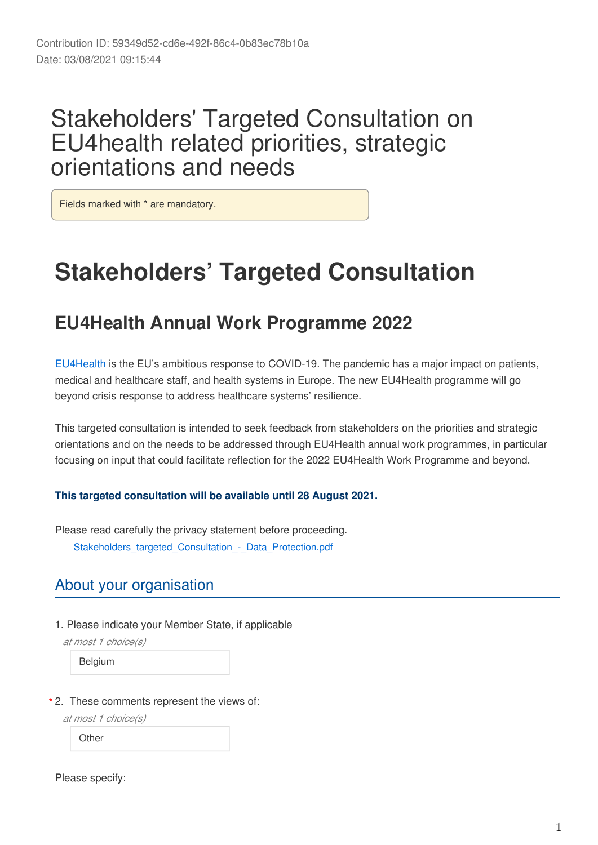# Stakeholders' Targeted Consultation on EU4health related priorities, strategic orientations and needs

Fields marked with \* are mandatory.

# **Stakeholders' Targeted Consultation**

# **EU4Health Annual Work Programme 2022**

[EU4Health](https://ec.europa.eu/health/funding/eu4health_en) is the EU's ambitious response to COVID-19. The pandemic has a major impact on patients, medical and healthcare staff, and health systems in Europe. The new EU4Health programme will go beyond crisis response to address healthcare systems' resilience.

This targeted consultation is intended to seek feedback from stakeholders on the priorities and strategic orientations and on the needs to be addressed through EU4Health annual work programmes, in particular focusing on input that could facilitate reflection for the 2022 EU4Health Work Programme and beyond.

#### **This targeted consultation will be available until 28 August 2021.**

Please read carefully the privacy statement before proceeding. Stakeholders\_targeted\_Consultation\_-\_Data\_Protection.pdf

### About your organisation

1. Please indicate your Member State, if applicable

*at most 1 choice(s)*

Belgium

2. These comments represent the views of: **\***

*at most 1 choice(s)*

**Other** 

Please specify: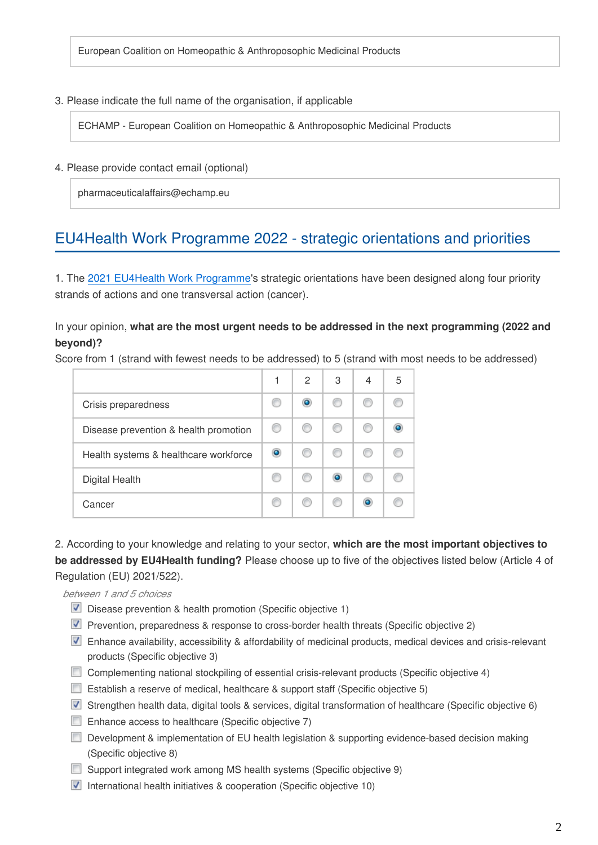European Coalition on Homeopathic & Anthroposophic Medicinal Products

#### 3. Please indicate the full name of the organisation, if applicable

ECHAMP - European Coalition on Homeopathic & Anthroposophic Medicinal Products

#### 4. Please provide contact email (optional)

pharmaceuticalaffairs@echamp.eu

## EU4Health Work Programme 2022 - strategic orientations and priorities

1. The [2021 EU4Health Work Programme](https://ec.europa.eu/health/sites/default/files/funding/docs/wp2021_annex_en.pdf)'s strategic orientations have been designed along four priority strands of actions and one transversal action (cancer).

#### In your opinion, **what are the most urgent needs to be addressed in the next programming (2022 and beyond)?**

Score from 1 (strand with fewest needs to be addressed) to 5 (strand with most needs to be addressed)

|                                       |   | 2 | 3         | 4 | 5 |
|---------------------------------------|---|---|-----------|---|---|
| Crisis preparedness                   |   |   |           |   |   |
| Disease prevention & health promotion | œ |   |           |   |   |
| Health systems & healthcare workforce | o |   |           |   |   |
| Digital Health                        |   |   | $\bullet$ |   |   |
| Cancer                                |   |   |           |   |   |

2. According to your knowledge and relating to your sector, **which are the most important objectives to be addressed by EU4Health funding?** Please choose up to five of the objectives listed below (Article 4 of Regulation (EU) 2021/522).

*between 1 and 5 choices*

- Disease prevention & health promotion (Specific objective 1)
- **Prevention, preparedness & response to cross-border health threats (Specific objective 2)**
- Enhance availability, accessibility & affordability of medicinal products, medical devices and crisis-relevant products (Specific objective 3)
- Complementing national stockpiling of essential crisis-relevant products (Specific objective 4)
- **Establish a reserve of medical, healthcare & support staff (Specific objective 5)**
- Strengthen health data, digital tools & services, digital transformation of healthcare (Specific objective 6)
- $\Box$  Enhance access to healthcare (Specific objective 7)
- Development & implementation of EU health legislation & supporting evidence-based decision making (Specific objective 8)
- Support integrated work among MS health systems (Specific objective 9)
- $\blacksquare$  International health initiatives & cooperation (Specific objective 10)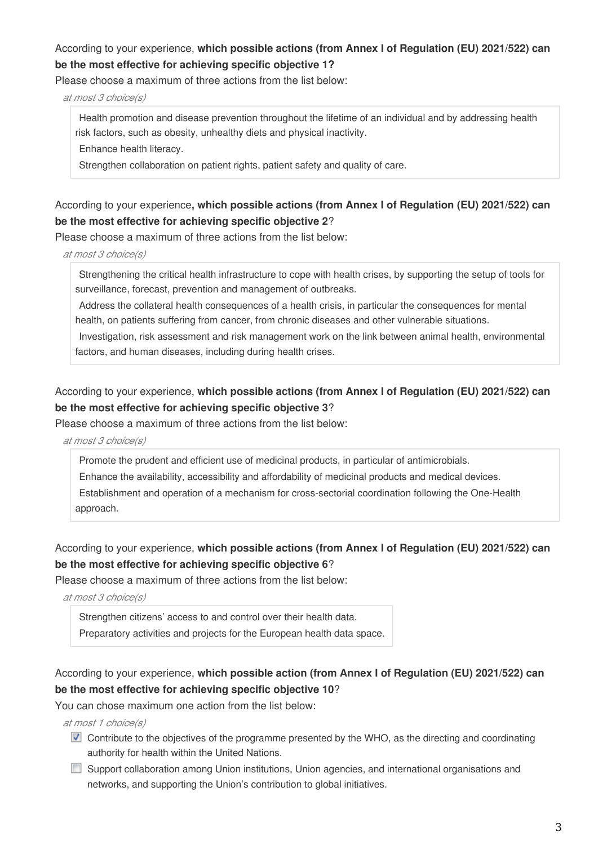#### According to your experience, **which possible actions (from Annex I of Regulation (EU) 2021/522) can be the most effective for achieving specific objective 1?**

Please choose a maximum of three actions from the list below:

*at most 3 choice(s)*

Health promotion and disease prevention throughout the lifetime of an individual and by addressing health risk factors, such as obesity, unhealthy diets and physical inactivity.

Enhance health literacy.

Strengthen collaboration on patient rights, patient safety and quality of care.

#### According to your experience**, which possible actions (from Annex I of Regulation (EU) 2021/522) can be the most effective for achieving specific objective 2**?

Please choose a maximum of three actions from the list below:

*at most 3 choice(s)*

Strengthening the critical health infrastructure to cope with health crises, by supporting the setup of tools for surveillance, forecast, prevention and management of outbreaks.

Address the collateral health consequences of a health crisis, in particular the consequences for mental health, on patients suffering from cancer, from chronic diseases and other vulnerable situations.

Investigation, risk assessment and risk management work on the link between animal health, environmental factors, and human diseases, including during health crises.

#### According to your experience, **which possible actions (from Annex I of Regulation (EU) 2021/522) can be the most effective for achieving specific objective 3**?

Please choose a maximum of three actions from the list below:

*at most 3 choice(s)*

Promote the prudent and efficient use of medicinal products, in particular of antimicrobials. Enhance the availability, accessibility and affordability of medicinal products and medical devices. Establishment and operation of a mechanism for cross-sectorial coordination following the One-Health approach.

#### According to your experience, **which possible actions (from Annex I of Regulation (EU) 2021/522) can be the most effective for achieving specific objective 6**?

Please choose a maximum of three actions from the list below:

*at most 3 choice(s)*

Strengthen citizens' access to and control over their health data.

Preparatory activities and projects for the European health data space.

#### According to your experience, **which possible action (from Annex I of Regulation (EU) 2021/522) can be the most effective for achieving specific objective 10**?

You can chose maximum one action from the list below:

*at most 1 choice(s)*

- **D** Contribute to the objectives of the programme presented by the WHO, as the directing and coordinating authority for health within the United Nations.
- **Support collaboration among Union institutions, Union agencies, and international organisations and** networks, and supporting the Union's contribution to global initiatives.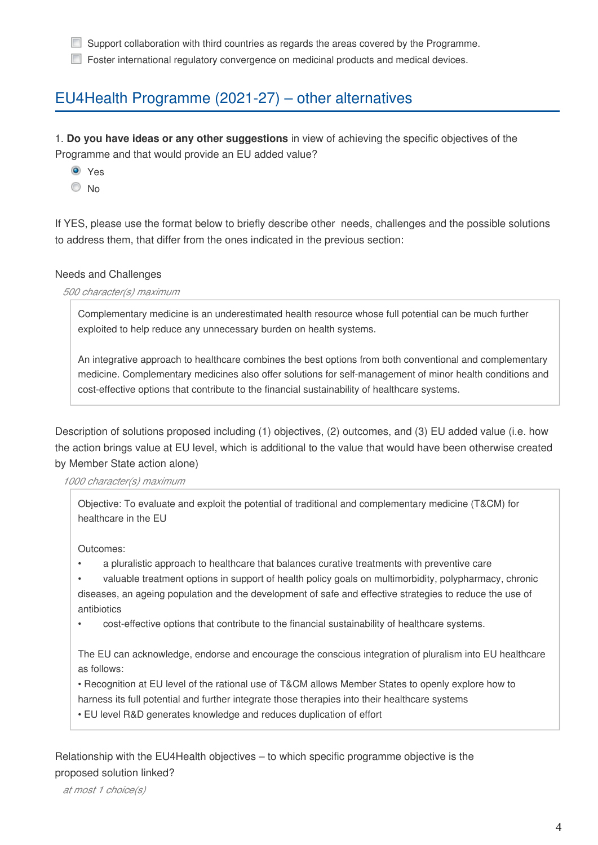Support collaboration with third countries as regards the areas covered by the Programme.

**Foster international regulatory convergence on medicinal products and medical devices.** 

## EU4Health Programme (2021-27) – other alternatives

1. **Do you have ideas or any other suggestions** in view of achieving the specific objectives of the Programme and that would provide an EU added value?

**O** Yes

 $\odot$  No

If YES, please use the format below to briefly describe other needs, challenges and the possible solutions to address them, that differ from the ones indicated in the previous section:

#### Needs and Challenges

*500 character(s) maximum*

Complementary medicine is an underestimated health resource whose full potential can be much further exploited to help reduce any unnecessary burden on health systems.

An integrative approach to healthcare combines the best options from both conventional and complementary medicine. Complementary medicines also offer solutions for self-management of minor health conditions and cost-effective options that contribute to the financial sustainability of healthcare systems.

Description of solutions proposed including (1) objectives, (2) outcomes, and (3) EU added value (i.e. how the action brings value at EU level, which is additional to the value that would have been otherwise created by Member State action alone)

#### *1000 character(s) maximum*

Objective: To evaluate and exploit the potential of traditional and complementary medicine (T&CM) for healthcare in the EU

Outcomes:

- a pluralistic approach to healthcare that balances curative treatments with preventive care
- valuable treatment options in support of health policy goals on multimorbidity, polypharmacy, chronic diseases, an ageing population and the development of safe and effective strategies to reduce the use of antibiotics
- cost-effective options that contribute to the financial sustainability of healthcare systems.

The EU can acknowledge, endorse and encourage the conscious integration of pluralism into EU healthcare as follows:

• Recognition at EU level of the rational use of T&CM allows Member States to openly explore how to harness its full potential and further integrate those therapies into their healthcare systems

• EU level R&D generates knowledge and reduces duplication of effort

Relationship with the EU4Health objectives – to which specific programme objective is the proposed solution linked?

*at most 1 choice(s)*